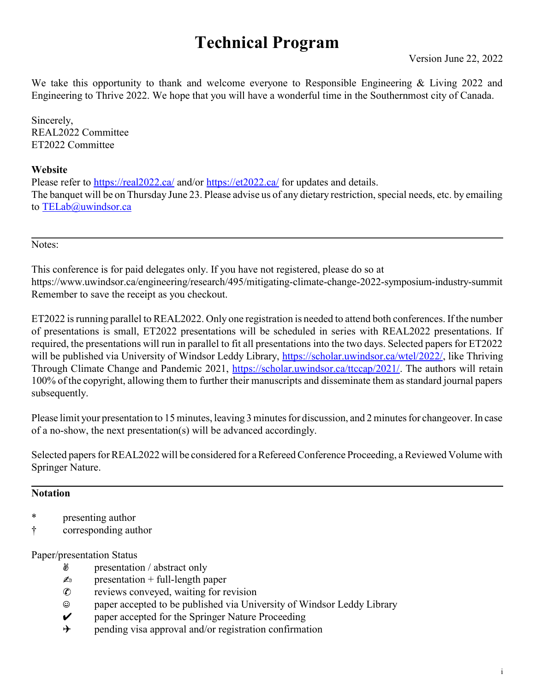# Technical Program

We take this opportunity to thank and welcome everyone to Responsible Engineering & Living 2022 and Engineering to Thrive 2022. We hope that you will have a wonderful time in the Southernmost city of Canada.

Sincerely, REAL2022 Committee ET2022 Committee

### Website

Please refer to https://real2022.ca/ and/or https://et2022.ca/ for updates and details. The banquet will be on Thursday June 23. Please advise us of any dietary restriction, special needs, etc. by emailing to TELab@uwindsor.ca

#### Notes:

This conference is for paid delegates only. If you have not registered, please do so at https://www.uwindsor.ca/engineering/research/495/mitigating-climate-change-2022-symposium-industry-summit Remember to save the receipt as you checkout.

ET2022 is running parallel to REAL2022. Only one registration is needed to attend both conferences. If the number of presentations is small, ET2022 presentations will be scheduled in series with REAL2022 presentations. If required, the presentations will run in parallel to fit all presentations into the two days. Selected papers for ET2022 will be published via University of Windsor Leddy Library, https://scholar.uwindsor.ca/wtel/2022/, like Thriving Through Climate Change and Pandemic 2021, https://scholar.uwindsor.ca/ttccap/2021/. The authors will retain 100% of the copyright, allowing them to further their manuscripts and disseminate them as standard journal papers subsequently.

Please limit your presentation to 15 minutes, leaving 3 minutes for discussion, and 2 minutes for changeover. In case of a no-show, the next presentation(s) will be advanced accordingly.

Selected papers for REAL2022 will be considered for a Refereed Conference Proceeding, a Reviewed Volume with Springer Nature.

## Notation

- \* presenting author
- † corresponding author

#### Paper/presentation Status

- presentation / abstract only ₩
- $\mathbf{z}_1$ presentation + full-length paper
- reviews conveyed, waiting for revision  $\circledC$
- paper accepted to be published via University of Windsor Leddy Library  $\odot$
- paper accepted for the Springer Nature Proceeding  $\boldsymbol{\nu}$
- $\frac{1}{2}$ pending visa approval and/or registration confirmation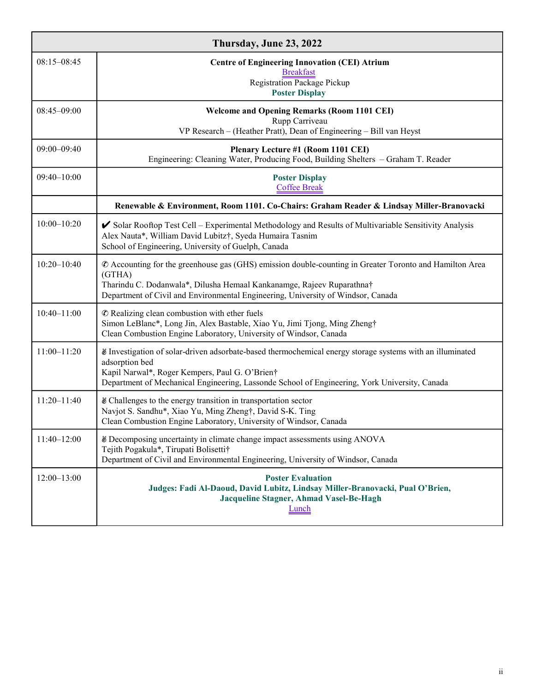| Thursday, June 23, 2022 |                                                                                                                                                                                                                                                                                |  |
|-------------------------|--------------------------------------------------------------------------------------------------------------------------------------------------------------------------------------------------------------------------------------------------------------------------------|--|
| $08:15 - 08:45$         | <b>Centre of Engineering Innovation (CEI) Atrium</b><br><b>Breakfast</b><br>Registration Package Pickup<br><b>Poster Display</b>                                                                                                                                               |  |
| $08:45 - 09:00$         | <b>Welcome and Opening Remarks (Room 1101 CEI)</b><br>Rupp Carriveau<br>VP Research – (Heather Pratt), Dean of Engineering – Bill van Heyst                                                                                                                                    |  |
| 09:00-09:40             | Plenary Lecture #1 (Room 1101 CEI)<br>Engineering: Cleaning Water, Producing Food, Building Shelters - Graham T. Reader                                                                                                                                                        |  |
| $09:40 - 10:00$         | <b>Poster Display</b><br><b>Coffee Break</b>                                                                                                                                                                                                                                   |  |
|                         | Renewable & Environment, Room 1101. Co-Chairs: Graham Reader & Lindsay Miller-Branovacki                                                                                                                                                                                       |  |
| $10:00 - 10:20$         | Solar Rooftop Test Cell - Experimental Methodology and Results of Multivariable Sensitivity Analysis<br>Alex Nauta*, William David Lubitz†, Syeda Humaira Tasnim<br>School of Engineering, University of Guelph, Canada                                                        |  |
| $10:20 - 10:40$         | © Accounting for the greenhouse gas (GHS) emission double-counting in Greater Toronto and Hamilton Area<br>(GTHA)<br>Tharindu C. Dodanwala*, Dilusha Hemaal Kankanamge, Rajeev Ruparathna†<br>Department of Civil and Environmental Engineering, University of Windsor, Canada |  |
| $10:40 - 11:00$         | © Realizing clean combustion with ether fuels<br>Simon LeBlanc*, Long Jin, Alex Bastable, Xiao Yu, Jimi Tjong, Ming Zheng†<br>Clean Combustion Engine Laboratory, University of Windsor, Canada                                                                                |  |
| $11:00 - 11:20$         | & Investigation of solar-driven adsorbate-based thermochemical energy storage systems with an illuminated<br>adsorption bed<br>Kapil Narwal*, Roger Kempers, Paul G. O'Brien†<br>Department of Mechanical Engineering, Lassonde School of Engineering, York University, Canada |  |
| $11:20 - 11:40$         | & Challenges to the energy transition in transportation sector<br>Navjot S. Sandhu*, Xiao Yu, Ming Zheng†, David S-K. Ting<br>Clean Combustion Engine Laboratory, University of Windsor, Canada                                                                                |  |
| $11:40-12:00$           | Decomposing uncertainty in climate change impact assessments using ANOVA<br>Tejith Pogakula*, Tirupati Bolisetti†<br>Department of Civil and Environmental Engineering, University of Windsor, Canada                                                                          |  |
| $12:00 - 13:00$         | <b>Poster Evaluation</b><br>Judges: Fadi Al-Daoud, David Lubitz, Lindsay Miller-Branovacki, Pual O'Brien,<br><b>Jacqueline Stagner, Ahmad Vasel-Be-Hagh</b><br>Lunch                                                                                                           |  |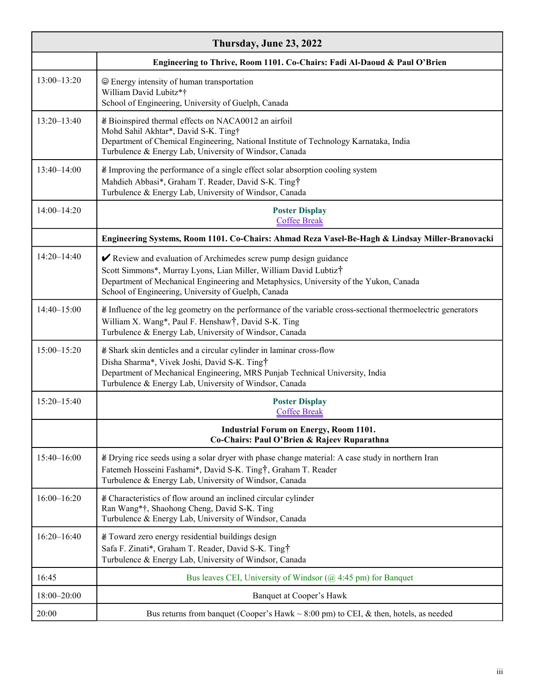| Thursday, June 23, 2022 |                                                                                                                                                                                                                                                                                    |  |
|-------------------------|------------------------------------------------------------------------------------------------------------------------------------------------------------------------------------------------------------------------------------------------------------------------------------|--|
|                         | Engineering to Thrive, Room 1101. Co-Chairs: Fadi Al-Daoud & Paul O'Brien                                                                                                                                                                                                          |  |
| $13:00 - 13:20$         | © Energy intensity of human transportation<br>William David Lubitz*†<br>School of Engineering, University of Guelph, Canada                                                                                                                                                        |  |
| $13:20 - 13:40$         | Bioinspired thermal effects on NACA0012 an airfoil<br>Mohd Sahil Akhtar*, David S-K. Ting†<br>Department of Chemical Engineering, National Institute of Technology Karnataka, India<br>Turbulence & Energy Lab, University of Windsor, Canada                                      |  |
| $13:40-14:00$           | <i>Improving the performance of a single effect solar absorption cooling system</i><br>Mahdieh Abbasi*, Graham T. Reader, David S-K. Ting†<br>Turbulence & Energy Lab, University of Windsor, Canada                                                                               |  |
| $14:00 - 14:20$         | <b>Poster Display</b><br><b>Coffee Break</b>                                                                                                                                                                                                                                       |  |
|                         | Engineering Systems, Room 1101. Co-Chairs: Ahmad Reza Vasel-Be-Hagh & Lindsay Miller-Branovacki                                                                                                                                                                                    |  |
| $14:20 - 14:40$         | Review and evaluation of Archimedes screw pump design guidance<br>Scott Simmons*, Murray Lyons, Lian Miller, William David Lubtiz†<br>Department of Mechanical Engineering and Metaphysics, University of the Yukon, Canada<br>School of Engineering, University of Guelph, Canada |  |
| $14:40 - 15:00$         | Influence of the leg geometry on the performance of the variable cross-sectional thermoelectric generators<br>William X. Wang*, Paul F. Henshaw†, David S-K. Ting<br>Turbulence & Energy Lab, University of Windsor, Canada                                                        |  |
| $15:00 - 15:20$         | & Shark skin denticles and a circular cylinder in laminar cross-flow<br>Disha Sharma*, Vivek Joshi, David S-K. Ting†<br>Department of Mechanical Engineering, MRS Punjab Technical University, India<br>Turbulence & Energy Lab, University of Windsor, Canada                     |  |
| $15:20 - 15:40$         | <b>Poster Display</b><br><b>Coffee Break</b>                                                                                                                                                                                                                                       |  |
|                         | <b>Industrial Forum on Energy, Room 1101.</b><br>Co-Chairs: Paul O'Brien & Rajeev Ruparathna                                                                                                                                                                                       |  |
| 15:40-16:00             | Drying rice seeds using a solar dryer with phase change material: A case study in northern Iran<br>Fatemeh Hosseini Fashami*, David S-K. Ting†, Graham T. Reader<br>Turbulence & Energy Lab, University of Windsor, Canada                                                         |  |
| $16:00 - 16:20$         | & Characteristics of flow around an inclined circular cylinder<br>Ran Wang*†, Shaohong Cheng, David S-K. Ting<br>Turbulence & Energy Lab, University of Windsor, Canada                                                                                                            |  |
| $16:20 - 16:40$         | Toward zero energy residential buildings design<br>Safa F. Zinati*, Graham T. Reader, David S-K. Ting†<br>Turbulence & Energy Lab, University of Windsor, Canada                                                                                                                   |  |
| 16:45                   | Bus leaves CEI, University of Windsor $(Q\ 4:45 \text{ pm})$ for Banquet                                                                                                                                                                                                           |  |
| 18:00-20:00             | Banquet at Cooper's Hawk                                                                                                                                                                                                                                                           |  |
| 20:00                   | Bus returns from banquet (Cooper's Hawk $\sim 8:00$ pm) to CEI, & then, hotels, as needed                                                                                                                                                                                          |  |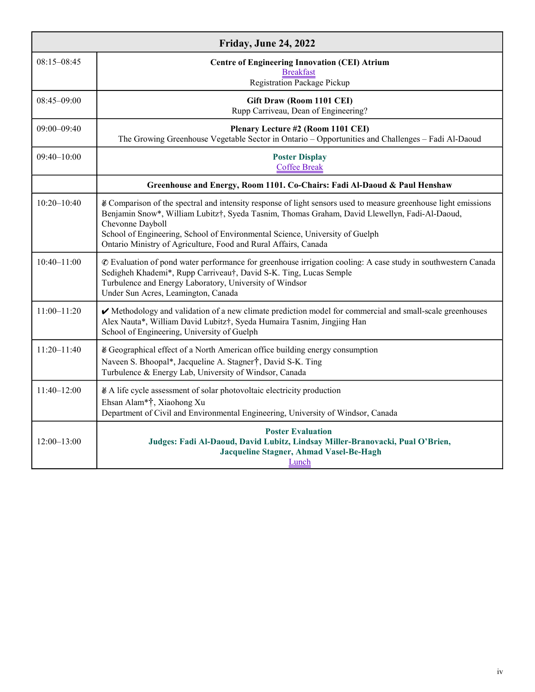| <b>Friday, June 24, 2022</b> |                                                                                                                                                                                                                                                                                                                                                                                         |  |
|------------------------------|-----------------------------------------------------------------------------------------------------------------------------------------------------------------------------------------------------------------------------------------------------------------------------------------------------------------------------------------------------------------------------------------|--|
| $08:15 - 08:45$              | <b>Centre of Engineering Innovation (CEI) Atrium</b><br><b>Breakfast</b><br>Registration Package Pickup                                                                                                                                                                                                                                                                                 |  |
| $08:45 - 09:00$              | Gift Draw (Room 1101 CEI)<br>Rupp Carriveau, Dean of Engineering?                                                                                                                                                                                                                                                                                                                       |  |
| 09:00-09:40                  | Plenary Lecture #2 (Room 1101 CEI)<br>The Growing Greenhouse Vegetable Sector in Ontario – Opportunities and Challenges – Fadi Al-Daoud                                                                                                                                                                                                                                                 |  |
| $09:40 - 10:00$              | <b>Poster Display</b><br><b>Coffee Break</b>                                                                                                                                                                                                                                                                                                                                            |  |
|                              | Greenhouse and Energy, Room 1101. Co-Chairs: Fadi Al-Daoud & Paul Henshaw                                                                                                                                                                                                                                                                                                               |  |
| $10:20 - 10:40$              | & Comparison of the spectral and intensity response of light sensors used to measure greenhouse light emissions<br>Benjamin Snow*, William Lubitz†, Syeda Tasnim, Thomas Graham, David Llewellyn, Fadi-Al-Daoud,<br>Chevonne Dayboll<br>School of Engineering, School of Environmental Science, University of Guelph<br>Ontario Ministry of Agriculture, Food and Rural Affairs, Canada |  |
| $10:40-11:00$                | © Evaluation of pond water performance for greenhouse irrigation cooling: A case study in southwestern Canada<br>Sedigheh Khademi*, Rupp Carriveau†, David S-K. Ting, Lucas Semple<br>Turbulence and Energy Laboratory, University of Windsor<br>Under Sun Acres, Leamington, Canada                                                                                                    |  |
| $11:00 - 11:20$              | ✔ Methodology and validation of a new climate prediction model for commercial and small-scale greenhouses<br>Alex Nauta*, William David Lubitz†, Syeda Humaira Tasnim, Jingjing Han<br>School of Engineering, University of Guelph                                                                                                                                                      |  |
| $11:20 - 11:40$              | & Geographical effect of a North American office building energy consumption<br>Naveen S. Bhoopal*, Jacqueline A. Stagner†, David S-K. Ting<br>Turbulence & Energy Lab, University of Windsor, Canada                                                                                                                                                                                   |  |
| $11:40-12:00$                | & A life cycle assessment of solar photovoltaic electricity production<br>Ehsan Alam*†, Xiaohong Xu<br>Department of Civil and Environmental Engineering, University of Windsor, Canada                                                                                                                                                                                                 |  |
| $12:00 - 13:00$              | <b>Poster Evaluation</b><br>Judges: Fadi Al-Daoud, David Lubitz, Lindsay Miller-Branovacki, Pual O'Brien,<br>Jacqueline Stagner, Ahmad Vasel-Be-Hagh<br>Lunch                                                                                                                                                                                                                           |  |